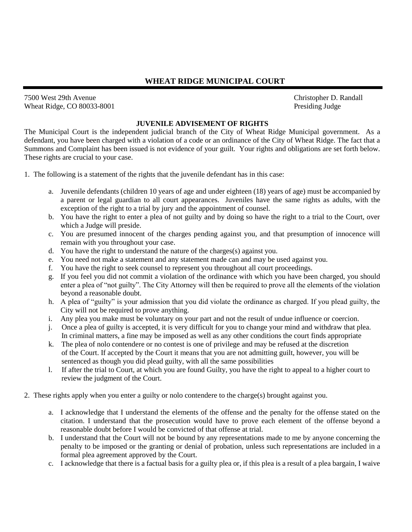## **WHEAT RIDGE MUNICIPAL COURT**

7500 West 29th Avenue Wheat Ridge, CO 80033-8001

## **JUVENILE ADVISEMENT OF RIGHTS**

The Municipal Court is the independent judicial branch of the City of Wheat Ridge Municipal government. As a defendant, you have been charged with a violation of a code or an ordinance of the City of Wheat Ridge. The fact that a Summons and Complaint has been issued is not evidence of your guilt. Your rights and obligations are set forth below. These rights are crucial to your case.

1. The following is a statement of the rights that the juvenile defendant has in this case:

- a. Juvenile defendants (children 10 years of age and under eighteen (18) years of age) must be accompanied by a parent or legal guardian to all court appearances. Juveniles have the same rights as adults, with the exception of the right to a trial by jury and the appointment of counsel.
- b. You have the right to enter a plea of not guilty and by doing so have the right to a trial to the Court, over which a Judge will preside.
- c. You are presumed innocent of the charges pending against you, and that presumption of innocence will remain with you throughout your case.
- d. You have the right to understand the nature of the charges(s) against you.
- e. You need not make a statement and any statement made can and may be used against you.
- f. You have the right to seek counsel to represent you throughout all court proceedings.
- g. If you feel you did not commit a violation of the ordinance with which you have been charged, you should enter a plea of "not guilty". The City Attorney will then be required to prove all the elements of the violation beyond a reasonable doubt.
- h. A plea of "guilty" is your admission that you did violate the ordinance as charged. If you plead guilty, the City will not be required to prove anything.
- i. Any plea you make must be voluntary on your part and not the result of undue influence or coercion.
- j. Once a plea of guilty is accepted, it is very difficult for you to change your mind and withdraw that plea. In criminal matters, a fine may be imposed as well as any other conditions the court finds appropriate
- k. The plea of nolo contendere or no contest is one of privilege and may be refused at the discretion of the Court. If accepted by the Court it means that you are not admitting guilt, however, you will be sentenced as though you did plead guilty, with all the same possibilities
- l. If after the trial to Court, at which you are found Guilty, you have the right to appeal to a higher court to review the judgment of the Court.
- 2. These rights apply when you enter a guilty or nolo contendere to the charge(s) brought against you.
	- a. I acknowledge that I understand the elements of the offense and the penalty for the offense stated on the citation. I understand that the prosecution would have to prove each element of the offense beyond a reasonable doubt before I would be convicted of that offense at trial.
	- b. I understand that the Court will not be bound by any representations made to me by anyone concerning the penalty to be imposed or the granting or denial of probation, unless such representations are included in a formal plea agreement approved by the Court.
	- c. I acknowledge that there is a factual basis for a guilty plea or, if this plea is a result of a plea bargain, I waive

 Christopher D. Randall Presiding Judge